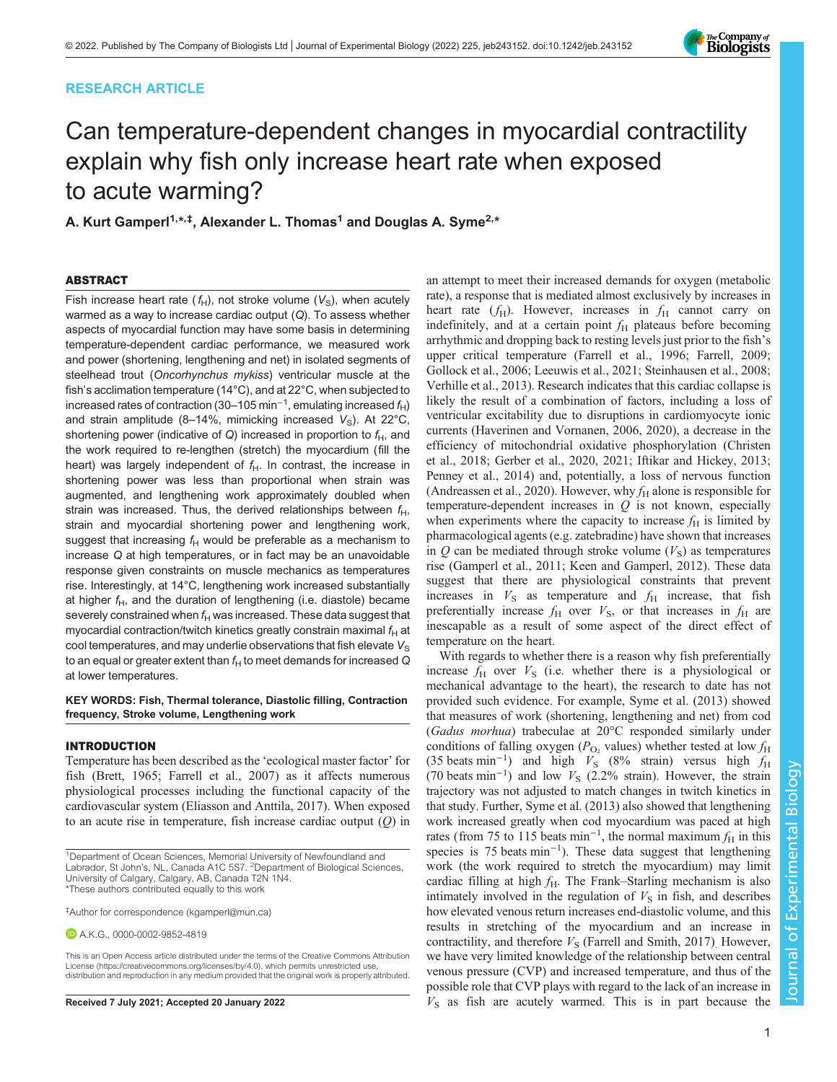# RESEARCH ARTICLE



# Can temperature-dependent changes in myocardial contractility explain why fish only increase heart rate when exposed to acute warming?

A. Kurt Gamperl<sup>1,</sup>\*<sup>,‡</sup>, Alexander L. Thomas<sup>1</sup> and Douglas A. Syme<sup>2,</sup>\*

# ABSTRACT

Fish increase heart rate ( $f_H$ ), not stroke volume ( $V_S$ ), when acutely warmed as a way to increase cardiac output (Q). To assess whether aspects of myocardial function may have some basis in determining temperature-dependent cardiac performance, we measured work and power (shortening, lengthening and net) in isolated segments of steelhead trout (Oncorhynchus mykiss) ventricular muscle at the fish's acclimation temperature (14°C), and at 22°C, when subjected to increased rates of contraction (30–105 min<sup>-1</sup>, emulating increased  $f_H$ ) and strain amplitude (8–14%, mimicking increased  $V_s$ ). At 22°C, shortening power (indicative of Q) increased in proportion to  $f_H$ , and the work required to re-lengthen (stretch) the myocardium (fill the heart) was largely independent of  $f_H$ . In contrast, the increase in shortening power was less than proportional when strain was augmented, and lengthening work approximately doubled when strain was increased. Thus, the derived relationships between  $f_H$ , strain and myocardial shortening power and lengthening work, suggest that increasing  $f_H$  would be preferable as a mechanism to increase Q at high temperatures, or in fact may be an unavoidable response given constraints on muscle mechanics as temperatures rise. Interestingly, at 14°C, lengthening work increased substantially at higher  $f_H$ , and the duration of lengthening (i.e. diastole) became severely constrained when  $f_H$  was increased. These data suggest that myocardial contraction/twitch kinetics greatly constrain maximal  $f_H$  at cool temperatures, and may underlie observations that fish elevate  $V_{\rm s}$ to an equal or greater extent than  $f_H$  to meet demands for increased  $Q$ at lower temperatures.

KEY WORDS: Fish, Thermal tolerance, Diastolic filling, Contraction frequency, Stroke volume, Lengthening work

## INTRODUCTION

Temperature has been described as the 'ecological master factor' for fish [\(Brett, 1965;](#page-10-0) [Farrell et al., 2007](#page-11-0)) as it affects numerous physiological processes including the functional capacity of the cardiovascular system [\(Eliasson and Anttila, 2017](#page-11-0)). When exposed to an acute rise in temperature, fish increase cardiac output  $(O)$  in

A.K.G., [0000-0002-9852-4819](http://orcid.org/0000-0002-9852-4819)

This is an Open Access article distributed under the terms of the Creative Commons Attribution License (https://creativecommons.org/licenses/by/4.0), which permits unrestricted use, distribution and reproduction in any medium provided that the original work is properly attributed.

an attempt to meet their increased demands for oxygen (metabolic rate), a response that is mediated almost exclusively by increases in heart rate  $(f_H)$ . However, increases in  $f_H$  cannot carry on indefinitely, and at a certain point  $f<sub>H</sub>$  plateaus before becoming arrhythmic and dropping back to resting levels just prior to the fish's upper critical temperature [\(Farrell et al., 1996; Farrell, 2009](#page-11-0); [Gollock et al., 2006](#page-11-0); [Leeuwis et al., 2021; Steinhausen et al., 2008](#page-11-0); [Verhille et al., 2013\)](#page-11-0). Research indicates that this cardiac collapse is likely the result of a combination of factors, including a loss of ventricular excitability due to disruptions in cardiomyocyte ionic currents ([Haverinen and Vornanen, 2006, 2020\)](#page-11-0), a decrease in the efficiency of mitochondrial oxidative phosphorylation [\(Christen](#page-11-0) [et al., 2018](#page-11-0); [Gerber et al., 2020, 2021](#page-11-0); [Iftikar and Hickey, 2013](#page-11-0); [Penney et al., 2014\)](#page-11-0) and, potentially, a loss of nervous function [\(Andreassen et al., 2020\)](#page-10-0). However, why  $f_H$  alone is responsible for temperature-dependent increases in  $Q$  is not known, especially when experiments where the capacity to increase  $f<sub>H</sub>$  is limited by pharmacological agents (e.g. zatebradine) have shown that increases in  $Q$  can be mediated through stroke volume  $(V<sub>S</sub>)$  as temperatures rise ([Gamperl et al., 2011](#page-11-0); [Keen and Gamperl, 2012](#page-11-0)). These data suggest that there are physiological constraints that prevent increases in  $V<sub>S</sub>$  as temperature and  $f<sub>H</sub>$  increase, that fish preferentially increase  $f_H$  over  $V_S$ , or that increases in  $f_H$  are inescapable as a result of some aspect of the direct effect of temperature on the heart.

With regards to whether there is a reason why fish preferentially increase  $f_{\rm H}$  over  $V_{\rm S}$  (i.e. whether there is a physiological or mechanical advantage to the heart), the research to date has not provided such evidence. For example, [Syme et al. \(2013\)](#page-11-0) showed that measures of work (shortening, lengthening and net) from cod (Gadus morhua) trabeculae at 20°C responded similarly under conditions of falling oxygen ( $P_{\text{O}_2}$  values) whether tested at low  $f_{\text{H}}$ (35 beats min<sup>-1</sup>) and high  $V_S$  (8% strain) versus high  $f_H$ (70 beats min<sup>-1</sup>) and low  $V<sub>S</sub>$  (2.2% strain). However, the strain trajectory was not adjusted to match changes in twitch kinetics in that study. Further, [Syme et al. \(2013\)](#page-11-0) also showed that lengthening work increased greatly when cod myocardium was paced at high rates (from 75 to 115 beats min<sup>-1</sup>, the normal maximum  $f_H$  in this species is 75 beats min<sup>-1</sup>). These data suggest that lengthening work (the work required to stretch the myocardium) may limit cardiac filling at high  $f_H$ . The Frank–Starling mechanism is also intimately involved in the regulation of  $V<sub>S</sub>$  in fish, and describes how elevated venous return increases end-diastolic volume, and this results in stretching of the myocardium and an increase in contractility, and therefore  $V<sub>S</sub>$  ([Farrell and Smith, 2017\)](#page-11-0). However, we have very limited knowledge of the relationship between central venous pressure (CVP) and increased temperature, and thus of the possible role that CVP plays with regard to the lack of an increase in Received 7 July 2021; Accepted 20 January 2022  $V<sub>S</sub>$  as fish are acutely warmed. This is in part because the

<sup>&</sup>lt;sup>1</sup>Department of Ocean Sciences, Memorial University of Newfoundland and Labrador, St John's, NL, Canada A1C 5S7. <sup>2</sup>Department of Biological Sciences, University of Calgary, Calgary, AB, Canada T2N 1N4. \*These authors contributed equally to this work

<sup>‡</sup> Author for correspondence ([kgamperl@mun.ca\)](mailto:kgamperl@mun.ca)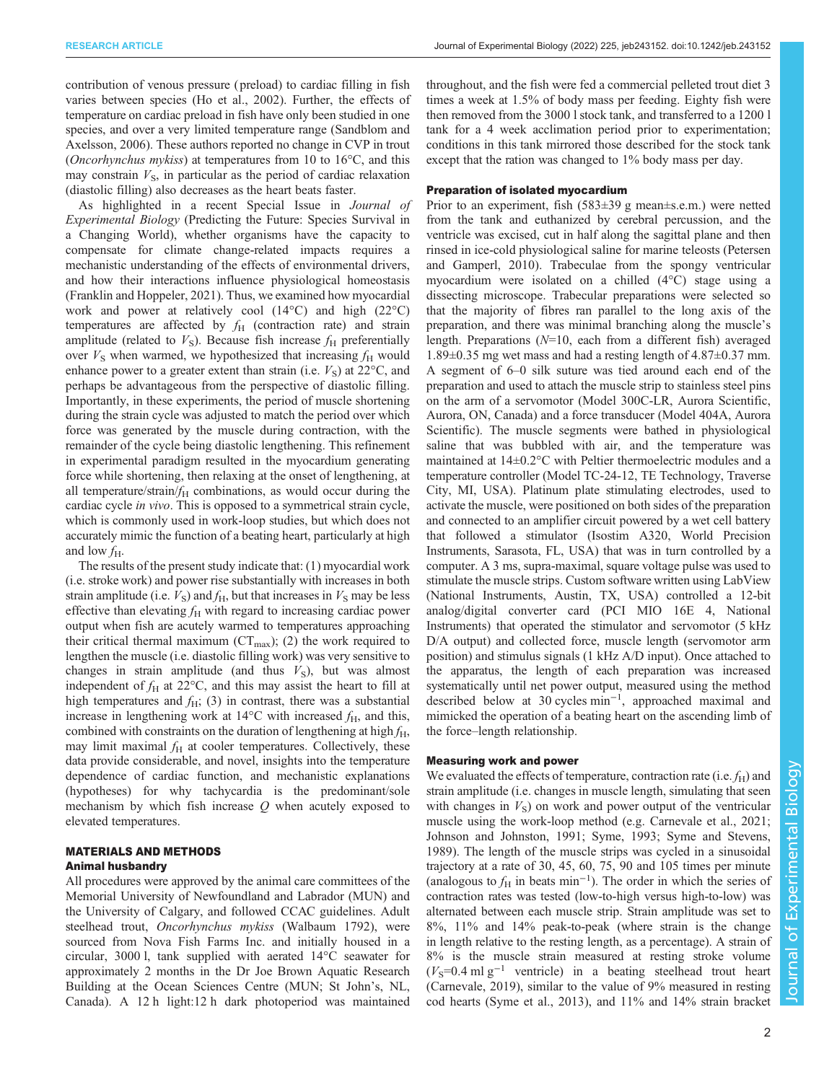RESEARCH ARTICLE **ARTICLE** ARTICLE **Journal of Experimental Biology (2022) 225**, jeb243152. doi:10.1242/jeb.243152

contribution of venous pressure ( preload) to cardiac filling in fish varies between species ([Ho et al., 2002\)](#page-11-0). Further, the effects of temperature on cardiac preload in fish have only been studied in one species, and over a very limited temperature range [\(Sandblom and](#page-11-0) [Axelsson, 2006\)](#page-11-0). These authors reported no change in CVP in trout (Oncorhynchus mykiss) at temperatures from 10 to 16°C, and this may constrain  $V<sub>S</sub>$ , in particular as the period of cardiac relaxation (diastolic filling) also decreases as the heart beats faster.

As highlighted in a recent Special Issue in Journal of Experimental Biology (Predicting the Future: Species Survival in a Changing World), whether organisms have the capacity to compensate for climate change-related impacts requires a mechanistic understanding of the effects of environmental drivers, and how their interactions influence physiological homeostasis [\(Franklin and Hoppeler, 2021](#page-11-0)). Thus, we examined how myocardial work and power at relatively cool (14°C) and high (22°C) temperatures are affected by  $f_H$  (contraction rate) and strain amplitude (related to  $V<sub>S</sub>$ ). Because fish increase  $f<sub>H</sub>$  preferentially over  $V<sub>S</sub>$  when warmed, we hypothesized that increasing  $f<sub>H</sub>$  would enhance power to a greater extent than strain (i.e.  $V_s$ ) at 22 $\rm{°C}$ , and perhaps be advantageous from the perspective of diastolic filling. Importantly, in these experiments, the period of muscle shortening during the strain cycle was adjusted to match the period over which force was generated by the muscle during contraction, with the remainder of the cycle being diastolic lengthening. This refinement in experimental paradigm resulted in the myocardium generating force while shortening, then relaxing at the onset of lengthening, at all temperature/strain/ $f_H$  combinations, as would occur during the cardiac cycle in vivo. This is opposed to a symmetrical strain cycle, which is commonly used in work-loop studies, but which does not accurately mimic the function of a beating heart, particularly at high and low  $f_{\rm H}$ .

The results of the present study indicate that: (1) myocardial work (i.e. stroke work) and power rise substantially with increases in both strain amplitude (i.e.  $V<sub>S</sub>$ ) and  $f<sub>H</sub>$ , but that increases in  $V<sub>S</sub>$  may be less effective than elevating  $f<sub>H</sub>$  with regard to increasing cardiac power output when fish are acutely warmed to temperatures approaching their critical thermal maximum ( $CT_{\text{max}}$ ); (2) the work required to lengthen the muscle (i.e. diastolic filling work) was very sensitive to changes in strain amplitude (and thus  $V<sub>S</sub>$ ), but was almost independent of  $f_H$  at 22 $\degree$ C, and this may assist the heart to fill at high temperatures and  $f_H$ ; (3) in contrast, there was a substantial increase in lengthening work at  $14^{\circ}$ C with increased  $f_H$ , and this, combined with constraints on the duration of lengthening at high  $f_H$ , may limit maximal  $f_H$  at cooler temperatures. Collectively, these data provide considerable, and novel, insights into the temperature dependence of cardiac function, and mechanistic explanations (hypotheses) for why tachycardia is the predominant/sole mechanism by which fish increase  $Q$  when acutely exposed to elevated temperatures.

# MATERIALS AND METHODS Animal husbandry

All procedures were approved by the animal care committees of the Memorial University of Newfoundland and Labrador (MUN) and the University of Calgary, and followed CCAC guidelines. Adult steelhead trout, Oncorhynchus mykiss (Walbaum 1792), were sourced from Nova Fish Farms Inc. and initially housed in a circular, 3000 l, tank supplied with aerated 14°C seawater for approximately 2 months in the Dr Joe Brown Aquatic Research Building at the Ocean Sciences Centre (MUN; St John's, NL, Canada). A 12 h light:12 h dark photoperiod was maintained

throughout, and the fish were fed a commercial pelleted trout diet 3 times a week at 1.5% of body mass per feeding. Eighty fish were then removed from the 3000 l stock tank, and transferred to a 1200 l tank for a 4 week acclimation period prior to experimentation; conditions in this tank mirrored those described for the stock tank except that the ration was changed to 1% body mass per day.

# Preparation of isolated myocardium

Prior to an experiment, fish (583±39 g mean±s.e.m.) were netted from the tank and euthanized by cerebral percussion, and the ventricle was excised, cut in half along the sagittal plane and then rinsed in ice-cold physiological saline for marine teleosts [\(Petersen](#page-11-0) [and Gamperl, 2010](#page-11-0)). Trabeculae from the spongy ventricular myocardium were isolated on a chilled (4°C) stage using a dissecting microscope. Trabecular preparations were selected so that the majority of fibres ran parallel to the long axis of the preparation, and there was minimal branching along the muscle's length. Preparations  $(N=10)$ , each from a different fish) averaged 1.89±0.35 mg wet mass and had a resting length of 4.87±0.37 mm. A segment of 6–0 silk suture was tied around each end of the preparation and used to attach the muscle strip to stainless steel pins on the arm of a servomotor (Model 300C-LR, Aurora Scientific, Aurora, ON, Canada) and a force transducer (Model 404A, Aurora Scientific). The muscle segments were bathed in physiological saline that was bubbled with air, and the temperature was maintained at 14±0.2°C with Peltier thermoelectric modules and a temperature controller (Model TC-24-12, TE Technology, Traverse City, MI, USA). Platinum plate stimulating electrodes, used to activate the muscle, were positioned on both sides of the preparation and connected to an amplifier circuit powered by a wet cell battery that followed a stimulator (Isostim A320, World Precision Instruments, Sarasota, FL, USA) that was in turn controlled by a computer. A 3 ms, supra-maximal, square voltage pulse was used to stimulate the muscle strips. Custom software written using LabView (National Instruments, Austin, TX, USA) controlled a 12-bit analog/digital converter card (PCI MIO 16E 4, National Instruments) that operated the stimulator and servomotor (5 kHz D/A output) and collected force, muscle length (servomotor arm position) and stimulus signals (1 kHz A/D input). Once attached to the apparatus, the length of each preparation was increased systematically until net power output, measured using the method described below at 30 cycles min−<sup>1</sup> , approached maximal and mimicked the operation of a beating heart on the ascending limb of the force–length relationship.

# Measuring work and power

We evaluated the effects of temperature, contraction rate (i.e.  $f_H$ ) and strain amplitude (i.e. changes in muscle length, simulating that seen with changes in  $V<sub>S</sub>$ ) on work and power output of the ventricular muscle using the work-loop method (e.g. [Carnevale et al., 2021](#page-10-0); [Johnson and Johnston, 1991; Syme, 1993; Syme and Stevens,](#page-11-0) [1989\)](#page-11-0). The length of the muscle strips was cycled in a sinusoidal trajectory at a rate of 30, 45, 60, 75, 90 and 105 times per minute (analogous to  $f_H$  in beats min<sup>-1</sup>). The order in which the series of contraction rates was tested (low-to-high versus high-to-low) was alternated between each muscle strip. Strain amplitude was set to 8%, 11% and 14% peak-to-peak (where strain is the change in length relative to the resting length, as a percentage). A strain of 8% is the muscle strain measured at resting stroke volume  $(V<sub>S</sub>=0.4$  ml g<sup>-1</sup> ventricle) in a beating steelhead trout heart [\(Carnevale, 2019\)](#page-10-0), similar to the value of 9% measured in resting cod hearts [\(Syme et al., 2013\)](#page-11-0), and 11% and 14% strain bracket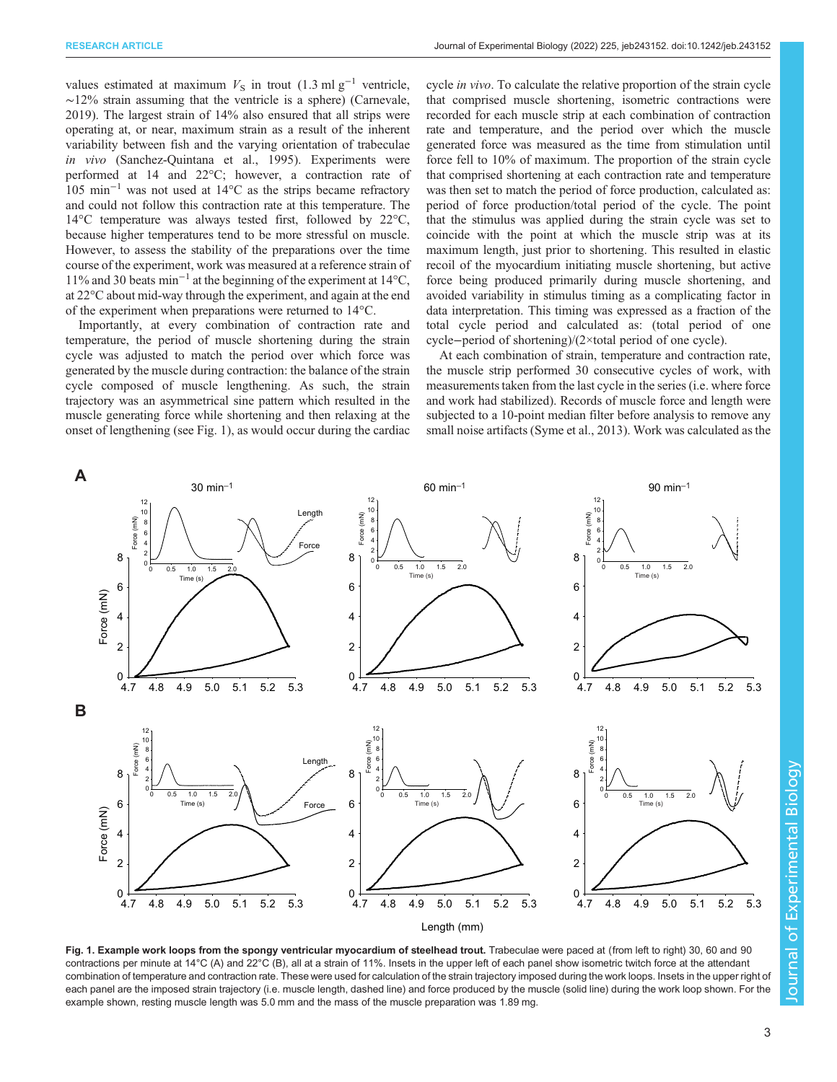<span id="page-2-0"></span>values estimated at maximum  $V_S$  in trout (1.3 ml g<sup>-1</sup> ventricle, ∼12% strain assuming that the ventricle is a sphere) [\(Carnevale,](#page-10-0) [2019](#page-10-0)). The largest strain of 14% also ensured that all strips were operating at, or near, maximum strain as a result of the inherent variability between fish and the varying orientation of trabeculae in vivo ([Sanchez-Quintana et al., 1995](#page-11-0)). Experiments were performed at 14 and 22°C; however, a contraction rate of 105 min−<sup>1</sup> was not used at 14°C as the strips became refractory and could not follow this contraction rate at this temperature. The 14°C temperature was always tested first, followed by 22°C, because higher temperatures tend to be more stressful on muscle. However, to assess the stability of the preparations over the time course of the experiment, work was measured at a reference strain of 11% and 30 beats min−<sup>1</sup> at the beginning of the experiment at 14°C, at 22°C about mid-way through the experiment, and again at the end of the experiment when preparations were returned to 14°C.

Importantly, at every combination of contraction rate and temperature, the period of muscle shortening during the strain cycle was adjusted to match the period over which force was generated by the muscle during contraction: the balance of the strain cycle composed of muscle lengthening. As such, the strain trajectory was an asymmetrical sine pattern which resulted in the muscle generating force while shortening and then relaxing at the onset of lengthening (see Fig. 1), as would occur during the cardiac cycle in vivo. To calculate the relative proportion of the strain cycle that comprised muscle shortening, isometric contractions were recorded for each muscle strip at each combination of contraction rate and temperature, and the period over which the muscle generated force was measured as the time from stimulation until force fell to 10% of maximum. The proportion of the strain cycle that comprised shortening at each contraction rate and temperature was then set to match the period of force production, calculated as: period of force production/total period of the cycle. The point that the stimulus was applied during the strain cycle was set to coincide with the point at which the muscle strip was at its maximum length, just prior to shortening. This resulted in elastic recoil of the myocardium initiating muscle shortening, but active force being produced primarily during muscle shortening, and avoided variability in stimulus timing as a complicating factor in data interpretation. This timing was expressed as a fraction of the total cycle period and calculated as: (total period of one cycle−period of shortening)/(2×total period of one cycle).

At each combination of strain, temperature and contraction rate, the muscle strip performed 30 consecutive cycles of work, with measurements taken from the last cycle in the series (i.e. where force and work had stabilized). Records of muscle force and length were subjected to a 10-point median filter before analysis to remove any small noise artifacts [\(Syme et al., 2013\)](#page-11-0). Work was calculated as the



Fig. 1. Example work loops from the spongy ventricular myocardium of steelhead trout. Trabeculae were paced at (from left to right) 30, 60 and 90 contractions per minute at 14°C (A) and 22°C (B), all at a strain of 11%. Insets in the upper left of each panel show isometric twitch force at the attendant combination of temperature and contraction rate. These were used for calculation of the strain trajectory imposed during the work loops. Insets in the upper right of each panel are the imposed strain trajectory (i.e. muscle length, dashed line) and force produced by the muscle (solid line) during the work loop shown. For the example shown, resting muscle length was 5.0 mm and the mass of the muscle preparation was 1.89 mg.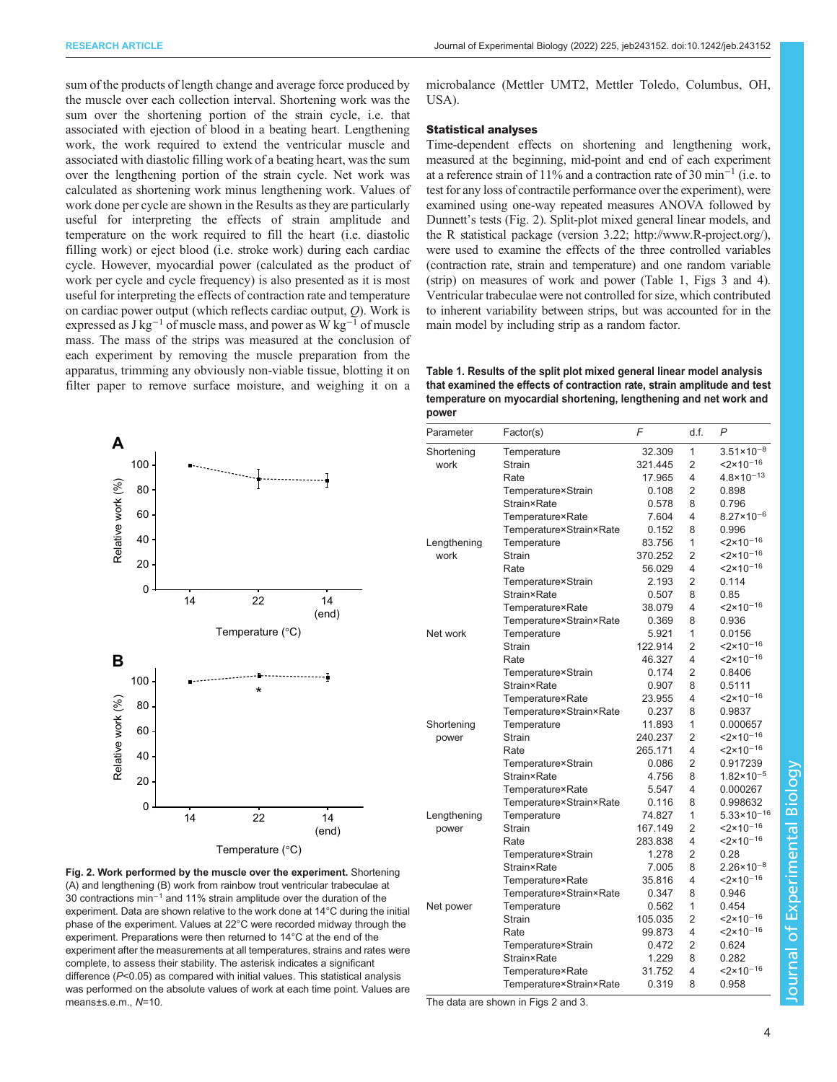<span id="page-3-0"></span>sum of the products of length change and average force produced by the muscle over each collection interval. Shortening work was the sum over the shortening portion of the strain cycle, i.e. that associated with ejection of blood in a beating heart. Lengthening work, the work required to extend the ventricular muscle and associated with diastolic filling work of a beating heart, was the sum over the lengthening portion of the strain cycle. Net work was calculated as shortening work minus lengthening work. Values of work done per cycle are shown in the Results as they are particularly useful for interpreting the effects of strain amplitude and temperature on the work required to fill the heart (i.e. diastolic filling work) or eject blood (i.e. stroke work) during each cardiac cycle. However, myocardial power (calculated as the product of work per cycle and cycle frequency) is also presented as it is most useful for interpreting the effects of contraction rate and temperature on cardiac power output (which reflects cardiac output,  $Q$ ). Work is expressed as  $J kg^{-1}$  of muscle mass, and power as W kg<sup>-1</sup> of muscle mass. The mass of the strips was measured at the conclusion of each experiment by removing the muscle preparation from the apparatus, trimming any obviously non-viable tissue, blotting it on filter paper to remove surface moisture, and weighing it on a



Fig. 2. Work performed by the muscle over the experiment. Shortening (A) and lengthening (B) work from rainbow trout ventricular trabeculae at 30 contractions min−<sup>1</sup> and 11% strain amplitude over the duration of the experiment. Data are shown relative to the work done at 14°C during the initial phase of the experiment. Values at 22°C were recorded midway through the experiment. Preparations were then returned to 14°C at the end of the experiment after the measurements at all temperatures, strains and rates were complete, to assess their stability. The asterisk indicates a significant difference (P<0.05) as compared with initial values. This statistical analysis was performed on the absolute values of work at each time point. Values are means±s.e.m., N=10.

microbalance (Mettler UMT2, Mettler Toledo, Columbus, OH, USA).

# Statistical analyses

Time-dependent effects on shortening and lengthening work, measured at the beginning, mid-point and end of each experiment at a reference strain of 11% and a contraction rate of 30 min−<sup>1</sup> (i.e. to test for any loss of contractile performance over the experiment), were examined using one-way repeated measures ANOVA followed by Dunnett's tests (Fig. 2). Split-plot mixed general linear models, and the R statistical package (version 3.22; [http://www.R-project.org/\)](http://www.R-project.org/), were used to examine the effects of the three controlled variables (contraction rate, strain and temperature) and one random variable (strip) on measures of work and power (Table 1, [Figs 3](#page-4-0) and [4\)](#page-6-0). Ventricular trabeculae were not controlled for size, which contributed to inherent variability between strips, but was accounted for in the main model by including strip as a random factor.

Table 1. Results of the split plot mixed general linear model analysis that examined the effects of contraction rate, strain amplitude and test temperature on myocardial shortening, lengthening and net work and power

| Parameter   | Factor(s)               | F       | d.f.           | P                      |
|-------------|-------------------------|---------|----------------|------------------------|
| Shortening  | Temperature             | 32.309  | 1              | $3.51 \times 10^{-8}$  |
| work        | Strain                  | 321.445 | $\overline{2}$ | $2 \times 10^{-16}$    |
|             | Rate                    | 17.965  | 4              | $4.8 \times 10^{-13}$  |
|             | Temperature×Strain      | 0.108   | $\overline{2}$ | 0.898                  |
|             | <b>Strain</b> ×Rate     | 0.578   | 8              | 0.796                  |
|             | Temperature×Rate        | 7.604   | 4              | $8.27 \times 10^{-6}$  |
|             | Temperature×Strain×Rate | 0.152   | 8              | 0.996                  |
| Lengthening | Temperature             | 83.756  | 1              | $2 \times 10^{-16}$    |
| work        | <b>Strain</b>           | 370.252 | $\overline{2}$ | $2 \times 10^{-16}$    |
|             | Rate                    | 56.029  | 4              | $2 \times 10^{-16}$    |
|             | Temperature×Strain      | 2.193   | 2              | 0.114                  |
|             | <b>Strain</b> ×Rate     | 0.507   | 8              | 0.85                   |
|             | Temperature×Rate        | 38.079  | 4              | $2 \times 10^{-16}$    |
|             | Temperature×Strain×Rate | 0.369   | 8              | 0.936                  |
| Net work    | Temperature             | 5.921   | 1              | 0.0156                 |
|             | <b>Strain</b>           | 122.914 | $\overline{2}$ | $2 \times 10^{-16}$    |
|             | Rate                    | 46.327  | 4              | $2 \times 10^{-16}$    |
|             | Temperature×Strain      | 0.174   | $\overline{2}$ | 0.8406                 |
|             | <b>Strain</b> ×Rate     | 0.907   | 8              | 0.5111                 |
|             | Temperature×Rate        | 23.955  | 4              | $2 \times 10^{-16}$    |
|             | Temperature×Strain×Rate | 0.237   | 8              | 0.9837                 |
| Shortening  | Temperature             | 11.893  | 1              | 0.000657               |
| power       | <b>Strain</b>           | 240.237 | 2              | $2 \times 10^{-16}$    |
|             | Rate                    | 265.171 | 4              | $2 \times 10^{-16}$    |
|             | Temperature×Strain      | 0.086   | $\overline{2}$ | 0.917239               |
|             | <b>Strain</b> ×Rate     | 4.756   | 8              | $1.82 \times 10^{-5}$  |
|             | Temperature×Rate        | 5.547   | 4              | 0.000267               |
|             | Temperature×Strain×Rate | 0.116   | 8              | 0.998632               |
| Lengthening | Temperature             | 74.827  | 1              | $5.33 \times 10^{-16}$ |
| power       | Strain                  | 167.149 | $\overline{2}$ | $2 \times 10^{-16}$    |
|             | Rate                    | 283.838 | 4              | $< 2 \times 10^{-16}$  |
|             | Temperature×Strain      | 1.278   | 2              | 0.28                   |
|             | <b>Strain</b> ×Rate     | 7.005   | 8              | $2.26 \times 10^{-8}$  |
|             | Temperature×Rate        | 35.816  | 4              | $2 \times 10^{-16}$    |
|             | Temperature×Strain×Rate | 0.347   | 8              | 0.946                  |
| Net power   | Temperature             | 0.562   | 1              | 0.454                  |
|             | <b>Strain</b>           | 105.035 | 2              | $2 \times 10^{-16}$    |
|             | Rate                    | 99.873  | 4              | $2 \times 10^{-16}$    |
|             | Temperature×Strain      | 0.472   | 2              | 0.624                  |
|             | <b>Strain</b> ×Rate     | 1.229   | 8              | 0.282                  |
|             | Temperature×Rate        | 31.752  | 4              | $2 \times 10^{-16}$    |
|             | Temperature×Strain×Rate | 0.319   | 8              | 0.958                  |

The data are shown in Figs 2 and [3](#page-4-0).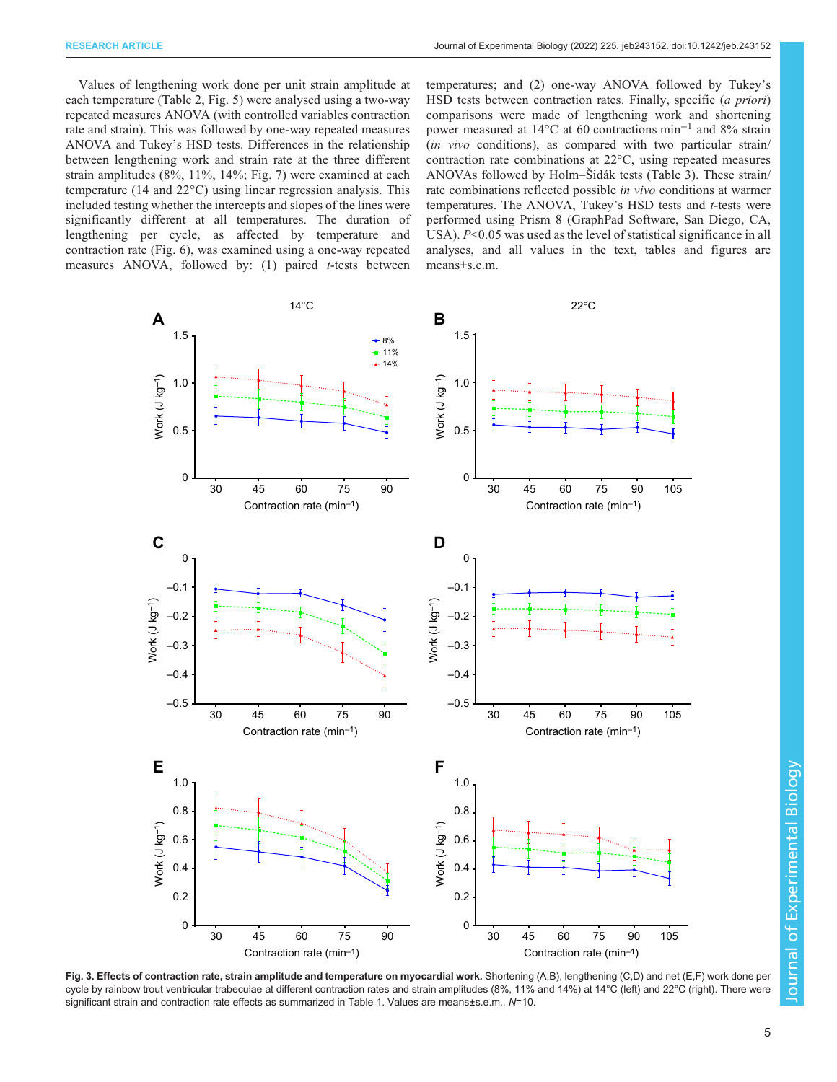<span id="page-4-0"></span>Values of lengthening work done per unit strain amplitude at each temperature ([Table 2,](#page-5-0) [Fig. 5\)](#page-7-0) were analysed using a two-way repeated measures ANOVA (with controlled variables contraction rate and strain). This was followed by one-way repeated measures ANOVA and Tukey's HSD tests. Differences in the relationship between lengthening work and strain rate at the three different strain amplitudes (8%, 11%, 14%; [Fig. 7](#page-8-0)) were examined at each temperature (14 and 22°C) using linear regression analysis. This included testing whether the intercepts and slopes of the lines were significantly different at all temperatures. The duration of lengthening per cycle, as affected by temperature and contraction rate [\(Fig. 6](#page-7-0)), was examined using a one-way repeated measures ANOVA, followed by:  $(1)$  paired *t*-tests between

temperatures; and (2) one-way ANOVA followed by Tukey's HSD tests between contraction rates. Finally, specific (a priori) comparisons were made of lengthening work and shortening power measured at 14°C at 60 contractions min−<sup>1</sup> and 8% strain (in vivo conditions), as compared with two particular strain/ contraction rate combinations at 22°C, using repeated measures ANOVAs followed by Holm–Šidák tests ([Table 3\)](#page-7-0). These strain/ rate combinations reflected possible in vivo conditions at warmer temperatures. The ANOVA, Tukey's HSD tests and t-tests were performed using Prism 8 (GraphPad Software, San Diego, CA, USA).  $P<0.05$  was used as the level of statistical significance in all analyses, and all values in the text, tables and figures are means±s.e.m.



Fig. 3. Effects of contraction rate, strain amplitude and temperature on myocardial work. Shortening (A,B), lengthening (C,D) and net (E,F) work done per cycle by rainbow trout ventricular trabeculae at different contraction rates and strain amplitudes (8%, 11% and 14%) at 14°C (left) and 22°C (right). There were significant strain and contraction rate effects as summarized in [Table 1](#page-3-0). Values are means±s.e.m., N=10.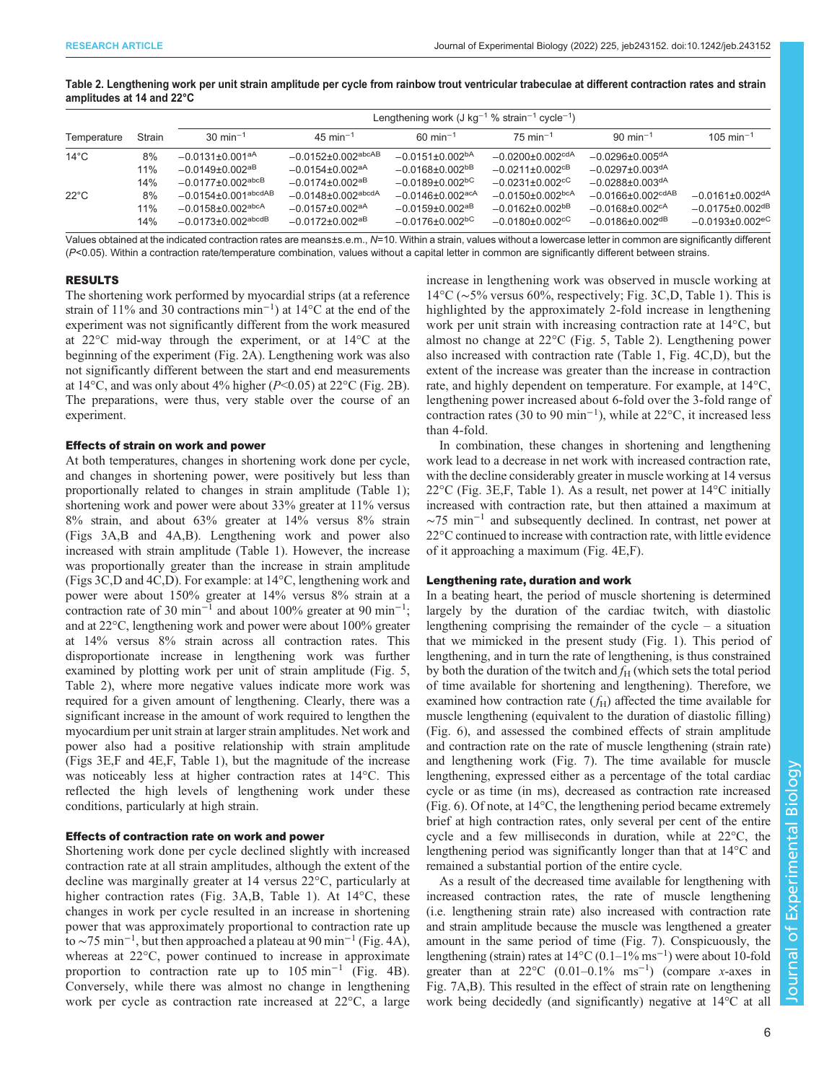|                |        | Lengthening work (J kg <sup>-1</sup> % strain <sup>-1</sup> cycle <sup>-1</sup> ) |                                      |                                    |                                   |                                     |                                   |
|----------------|--------|-----------------------------------------------------------------------------------|--------------------------------------|------------------------------------|-----------------------------------|-------------------------------------|-----------------------------------|
| Temperature    | Strain | $30 \text{ min}^{-1}$                                                             | $45 \text{ min}^{-1}$                | $60 \text{ min}^{-1}$              | $75 \text{ min}^{-1}$             | $90 \text{ min}^{-1}$               | $105 \text{ min}^{-1}$            |
| $14^{\circ}$ C | 8%     | $-0.0131 \pm 0.001$ <sup>aA</sup>                                                 | $-0.0152 \pm 0.002$ <sup>abcAB</sup> | $-0.0151+0.002bA$                  | $-0.0200 + 0.002$ <sup>cdA</sup>  | $-0.0296\pm0.005$ <sup>dA</sup>     |                                   |
|                | 11%    | $-0.0149 \pm 0.002$ <sup>aB</sup>                                                 | $-0.0154\pm0.002$ <sup>aA</sup>      | $-0.0168 + 0.002$ <sup>bB</sup>    | $-0.0211 + 0.002$ <sup>cB</sup>   | $-0.0297 + 0.003$ <sup>dA</sup>     |                                   |
|                | 14%    | $-0.0177 \pm 0.002$ <sup>abcB</sup>                                               | $-0.0174 + 0.002$ <sup>aB</sup>      | $-0.0189 + 0.002$ <sub>pc</sub>    | $-0.0231 + 0.002$ <sup>cC</sup>   | $-0.0288 + 0.003$ <sup>dA</sup>     |                                   |
| $22^{\circ}$ C | 8%     | $-0.0154\pm0.001$ <sup>abcdAB</sup>                                               | $-0.0148 \pm 0.002$ abcdA            | $-0.0146 \pm 0.002$ <sup>acA</sup> | $-0.0150\pm0.002$ <sub>bcA</sub>  | $-0.0166 \pm 0.002$ <sup>cdAB</sup> | $-0.0161\pm0.002$ <sup>dA</sup>   |
|                | 11%    | $-0.0158 \pm 0.002$ <sup>abcA</sup>                                               | $-0.0157 \pm 0.002$ <sup>aA</sup>    | $-0.0159 \pm 0.002$ <sup>aB</sup>  | $-0.0162 \pm 0.002$ <sup>bB</sup> | $-0.0168 \pm 0.002$ <sup>cA</sup>   | $-0.0175 \pm 0.002$ <sup>dB</sup> |
|                | 14%    | $-0.0173 + 0.002$ <sup>abcdB</sup>                                                | $-0.0172 + 0.002$ <sup>aB</sup>      | $-0.0176 + 0.002$ <sup>bC</sup>    | $-0.0180 + 0.002$ <sup>cC</sup>   | $-0.0186 \pm 0.002$ <sup>dB</sup>   | $-0.0193 \pm 0.002$ <sup>eC</sup> |

# <span id="page-5-0"></span>Table 2. Lengthening work per unit strain amplitude per cycle from rainbow trout ventricular trabeculae at different contraction rates and strain amplitudes at 14 and 22°C

Values obtained at the indicated contraction rates are means±s.e.m., N=10. Within a strain, values without a lowercase letter in common are significantly different  $(P< 0.05)$ . Within a contraction rate/temperature combination, values without a capital letter in common are significantly different between strains.

## RESULTS

The shortening work performed by myocardial strips (at a reference strain of 11% and 30 contractions min−<sup>1</sup> ) at 14°C at the end of the experiment was not significantly different from the work measured at 22°C mid-way through the experiment, or at 14°C at the beginning of the experiment ([Fig. 2A](#page-3-0)). Lengthening work was also not significantly different between the start and end measurements at 14 $\degree$ C, and was only about 4% higher (P<0.05) at 22 $\degree$ C [\(Fig. 2](#page-3-0)B). The preparations, were thus, very stable over the course of an experiment.

# Effects of strain on work and power

At both temperatures, changes in shortening work done per cycle, and changes in shortening power, were positively but less than proportionally related to changes in strain amplitude ([Table 1](#page-3-0)); shortening work and power were about 33% greater at 11% versus 8% strain, and about 63% greater at 14% versus 8% strain [\(Figs 3A](#page-4-0),B and [4](#page-6-0)A,B). Lengthening work and power also increased with strain amplitude ([Table 1](#page-3-0)). However, the increase was proportionally greater than the increase in strain amplitude [\(Figs 3](#page-4-0)C,D and [4C](#page-6-0),D). For example: at 14°C, lengthening work and power were about 150% greater at 14% versus 8% strain at a contraction rate of 30 min<sup>-1</sup> and about 100% greater at 90 min<sup>-1</sup>; and at 22°C, lengthening work and power were about 100% greater at 14% versus 8% strain across all contraction rates. This disproportionate increase in lengthening work was further examined by plotting work per unit of strain amplitude ([Fig. 5,](#page-7-0) Table 2), where more negative values indicate more work was required for a given amount of lengthening. Clearly, there was a significant increase in the amount of work required to lengthen the myocardium per unit strain at larger strain amplitudes. Net work and power also had a positive relationship with strain amplitude [\(Figs 3](#page-4-0)E,F and [4E](#page-6-0),F, [Table 1](#page-3-0)), but the magnitude of the increase was noticeably less at higher contraction rates at 14°C. This reflected the high levels of lengthening work under these conditions, particularly at high strain.

# Effects of contraction rate on work and power

Shortening work done per cycle declined slightly with increased contraction rate at all strain amplitudes, although the extent of the decline was marginally greater at 14 versus 22°C, particularly at higher contraction rates ([Fig. 3A](#page-4-0),B, [Table 1\)](#page-3-0). At 14°C, these changes in work per cycle resulted in an increase in shortening power that was approximately proportional to contraction rate up to ~75 min<sup>-1</sup>, but then approached a plateau at 90 min<sup>-1</sup> ([Fig. 4A](#page-6-0)), whereas at 22°C, power continued to increase in approximate proportion to contraction rate up to 105 min−<sup>1</sup> ([Fig. 4](#page-6-0)B). Conversely, while there was almost no change in lengthening work per cycle as contraction rate increased at 22°C, a large

increase in lengthening work was observed in muscle working at 14°C (∼5% versus 60%, respectively; [Fig. 3](#page-4-0)C,D, [Table 1](#page-3-0)). This is highlighted by the approximately 2-fold increase in lengthening work per unit strain with increasing contraction rate at 14°C, but almost no change at 22°C ([Fig. 5](#page-7-0), Table 2). Lengthening power also increased with contraction rate ([Table 1](#page-3-0), [Fig. 4C](#page-6-0),D), but the extent of the increase was greater than the increase in contraction rate, and highly dependent on temperature. For example, at 14°C, lengthening power increased about 6-fold over the 3-fold range of contraction rates (30 to 90 min−<sup>1</sup> ), while at 22°C, it increased less than 4-fold.

In combination, these changes in shortening and lengthening work lead to a decrease in net work with increased contraction rate, with the decline considerably greater in muscle working at 14 versus  $22^{\circ}$ C ([Fig. 3](#page-4-0)E, F, [Table 1](#page-3-0)). As a result, net power at  $14^{\circ}$ C initially increased with contraction rate, but then attained a maximum at  $\sim$ 75 min<sup>-1</sup> and subsequently declined. In contrast, net power at 22°C continued to increase with contraction rate, with little evidence of it approaching a maximum [\(Fig. 4](#page-6-0)E,F).

# Lengthening rate, duration and work

In a beating heart, the period of muscle shortening is determined largely by the duration of the cardiac twitch, with diastolic lengthening comprising the remainder of the cycle  $-$  a situation that we mimicked in the present study [\(Fig. 1](#page-2-0)). This period of lengthening, and in turn the rate of lengthening, is thus constrained by both the duration of the twitch and  $f_H$  (which sets the total period of time available for shortening and lengthening). Therefore, we examined how contraction rate  $(f_H)$  affected the time available for muscle lengthening (equivalent to the duration of diastolic filling) [\(Fig. 6](#page-7-0)), and assessed the combined effects of strain amplitude and contraction rate on the rate of muscle lengthening (strain rate) and lengthening work [\(Fig. 7\)](#page-8-0). The time available for muscle lengthening, expressed either as a percentage of the total cardiac cycle or as time (in ms), decreased as contraction rate increased [\(Fig. 6\)](#page-7-0). Of note, at 14°C, the lengthening period became extremely brief at high contraction rates, only several per cent of the entire cycle and a few milliseconds in duration, while at 22°C, the lengthening period was significantly longer than that at 14°C and remained a substantial portion of the entire cycle.

As a result of the decreased time available for lengthening with increased contraction rates, the rate of muscle lengthening (i.e. lengthening strain rate) also increased with contraction rate and strain amplitude because the muscle was lengthened a greater amount in the same period of time ([Fig. 7](#page-8-0)). Conspicuously, the lengthening (strain) rates at 14°C (0.1–1% ms−<sup>1</sup> ) were about 10-fold greater than at  $22^{\circ}$ C (0.01–0.1% ms<sup>-1</sup>) (compare x-axes in [Fig. 7](#page-8-0)A,B). This resulted in the effect of strain rate on lengthening work being decidedly (and significantly) negative at 14°C at all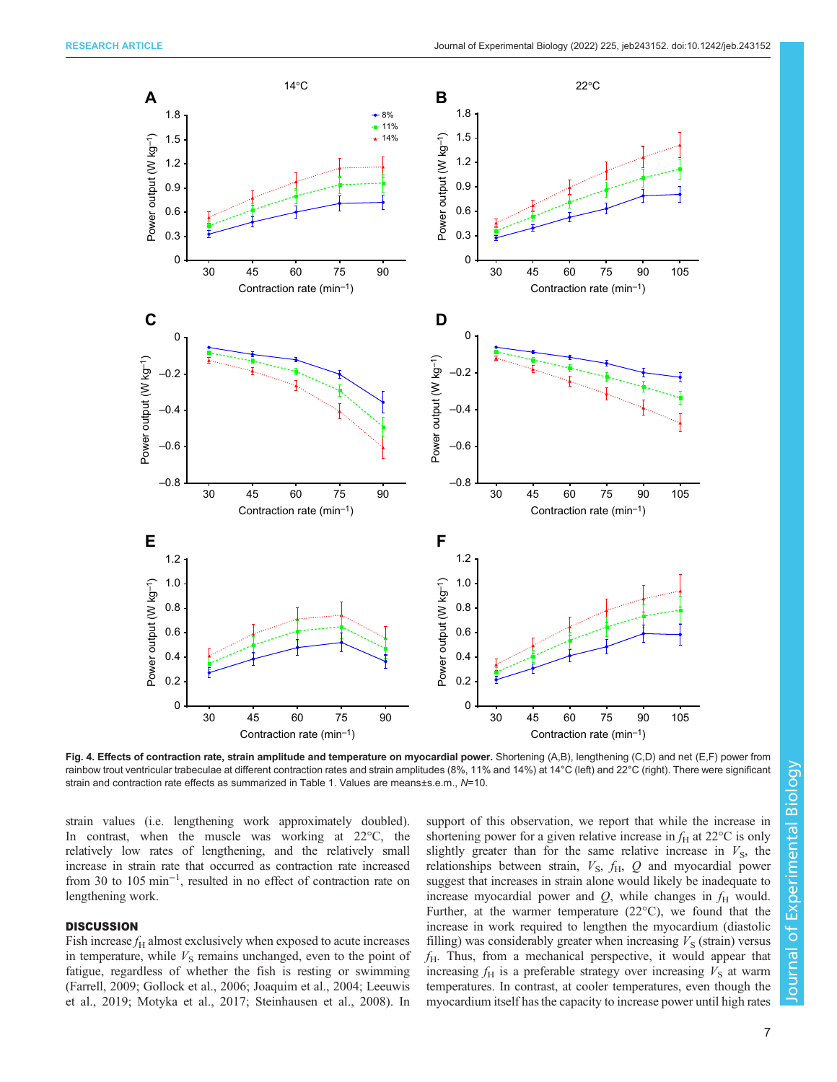<span id="page-6-0"></span>

Fig. 4. Effects of contraction rate, strain amplitude and temperature on myocardial power. Shortening (A,B), lengthening (C,D) and net (E,F) power from rainbow trout ventricular trabeculae at different contraction rates and strain amplitudes (8%, 11% and 14%) at 14°C (left) and 22°C (right). There were significant strain and contraction rate effects as summarized in [Table 1](#page-3-0). Values are means±s.e.m., N=10.

strain values (i.e. lengthening work approximately doubled). In contrast, when the muscle was working at 22°C, the relatively low rates of lengthening, and the relatively small increase in strain rate that occurred as contraction rate increased from 30 to 105 min−<sup>1</sup> , resulted in no effect of contraction rate on lengthening work.

# **DISCUSSION**

Fish increase  $f<sub>H</sub>$  almost exclusively when exposed to acute increases in temperature, while  $V<sub>S</sub>$  remains unchanged, even to the point of fatigue, regardless of whether the fish is resting or swimming [\(Farrell, 2009; Gollock et al., 2006](#page-11-0); [Joaquim et al., 2004; Leeuwis](#page-11-0) [et al., 2019; Motyka et al., 2017](#page-11-0); [Steinhausen et al., 2008](#page-11-0)). In support of this observation, we report that while the increase in shortening power for a given relative increase in  $f_H$  at 22 $\rm{°C}$  is only slightly greater than for the same relative increase in  $V<sub>S</sub>$ , the relationships between strain,  $V_{\rm S}$ ,  $f_{\rm H}$ ,  $Q$  and myocardial power suggest that increases in strain alone would likely be inadequate to increase myocardial power and  $Q$ , while changes in  $f<sub>H</sub>$  would. Further, at the warmer temperature (22°C), we found that the increase in work required to lengthen the myocardium (diastolic filling) was considerably greater when increasing  $V<sub>S</sub>$  (strain) versus  $f_H$ . Thus, from a mechanical perspective, it would appear that increasing  $f_H$  is a preferable strategy over increasing  $V_S$  at warm temperatures. In contrast, at cooler temperatures, even though the myocardium itself has the capacity to increase power until high rates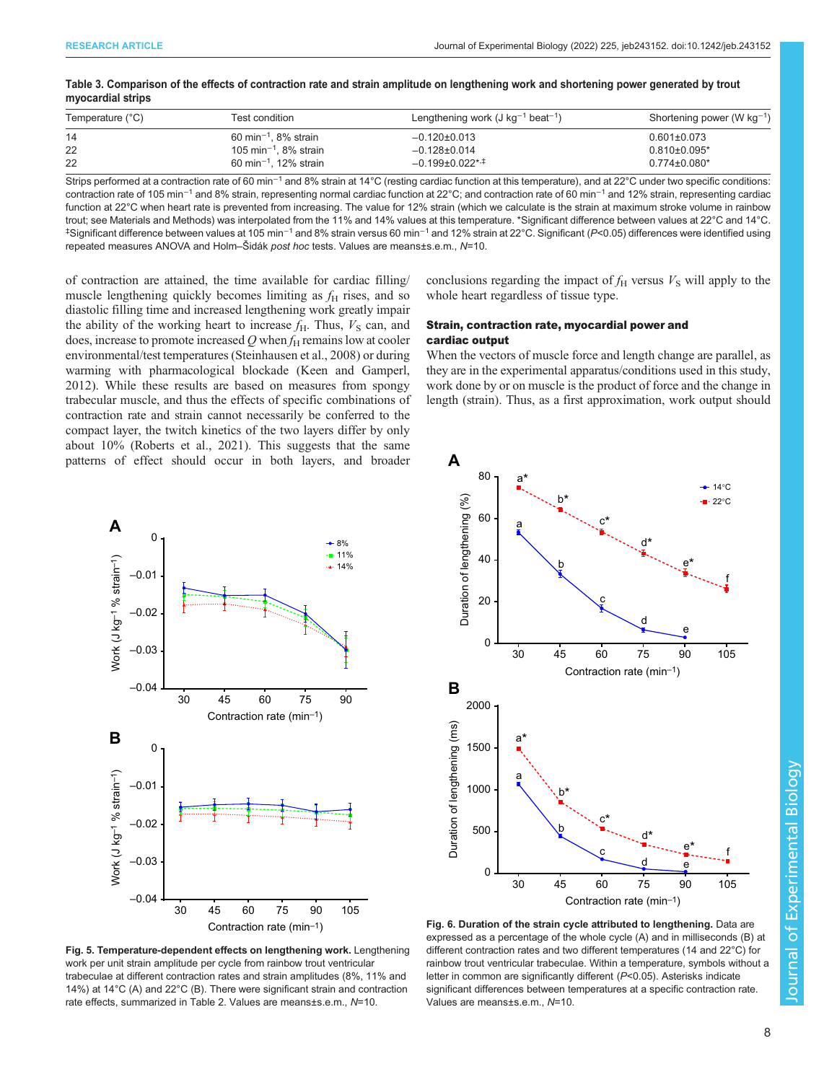| Temperature (°C) | Test condition                                 | Lengthening work $(J \text{ kg}^{-1} \text{ beat}^{-1})$ | Shortening power (W $kg^{-1}$ ) |
|------------------|------------------------------------------------|----------------------------------------------------------|---------------------------------|
| -14              | 60 min <sup><math>-1</math></sup> . 8% strain  | $-0.120 \pm 0.013$                                       | $0.601 \pm 0.073$               |
| 22               | 105 min <sup><math>-1</math></sup> , 8% strain | $-0.128 \pm 0.014$                                       | $0.810\pm0.095*$                |
| 22               | 60 min <sup><math>-1</math></sup> . 12% strain | $-0.199\pm0.022$ * <sup>+</sup>                          | $0.774 \pm 0.080$ *             |

<span id="page-7-0"></span>Table 3. Comparison of the effects of contraction rate and strain amplitude on lengthening work and shortening power generated by trout myocardial strips

Strips performed at a contraction rate of 60 min<sup>-1</sup> and 8% strain at 14°C (resting cardiac function at this temperature), and at 22°C under two specific conditions: contraction rate of 105 min<sup>-1</sup> and 8% strain, representing normal cardiac function at 22°C; and contraction rate of 60 min<sup>-1</sup> and 12% strain, representing cardiac function at 22°C when heart rate is prevented from increasing. The value for 12% strain (which we calculate is the strain at maximum stroke volume in rainbow trout; see Materials and Methods) was interpolated from the 11% and 14% values at this temperature. \*Significant difference between values at 22°C and 14°C. ‡ Significant difference between values at 105 min−<sup>1</sup> and 8% strain versus 60 min−<sup>1</sup> and 12% strain at 22°C. Significant (P<0.05) differences were identified using repeated measures ANOVA and Holm–Šidák post hoc tests. Values are means±s.e.m., N=10.

**A**

of contraction are attained, the time available for cardiac filling/ muscle lengthening quickly becomes limiting as  $f<sub>H</sub>$  rises, and so diastolic filling time and increased lengthening work greatly impair the ability of the working heart to increase  $f_H$ . Thus,  $V_S$  can, and does, increase to promote increased  $Q$  when  $f_H$  remains low at cooler environmental/test temperatures [\(Steinhausen et al., 2008\)](#page-11-0) or during warming with pharmacological blockade ([Keen and Gamperl,](#page-11-0) [2012](#page-11-0)). While these results are based on measures from spongy trabecular muscle, and thus the effects of specific combinations of contraction rate and strain cannot necessarily be conferred to the compact layer, the twitch kinetics of the two layers differ by only about 10% ([Roberts et al., 2021\)](#page-11-0). This suggests that the same patterns of effect should occur in both layers, and broader

conclusions regarding the impact of  $f_H$  versus  $V_S$  will apply to the whole heart regardless of tissue type.

# Strain, contraction rate, myocardial power and cardiac output

When the vectors of muscle force and length change are parallel, as they are in the experimental apparatus/conditions used in this study, work done by or on muscle is the product of force and the change in length (strain). Thus, as a first approximation, work output should





Fig. 5. Temperature-dependent effects on lengthening work. Lengthening work per unit strain amplitude per cycle from rainbow trout ventricular trabeculae at different contraction rates and strain amplitudes (8%, 11% and 14%) at 14°C (A) and 22°C (B). There were significant strain and contraction rate effects, summarized in [Table 2.](#page-5-0) Values are means±s.e.m., N=10.

Fig. 6. Duration of the strain cycle attributed to lengthening. Data are expressed as a percentage of the whole cycle (A) and in milliseconds (B) at different contraction rates and two different temperatures (14 and 22°C) for rainbow trout ventricular trabeculae. Within a temperature, symbols without a letter in common are significantly different (P<0.05). Asterisks indicate significant differences between temperatures at a specific contraction rate. Values are means±s.e.m., N=10.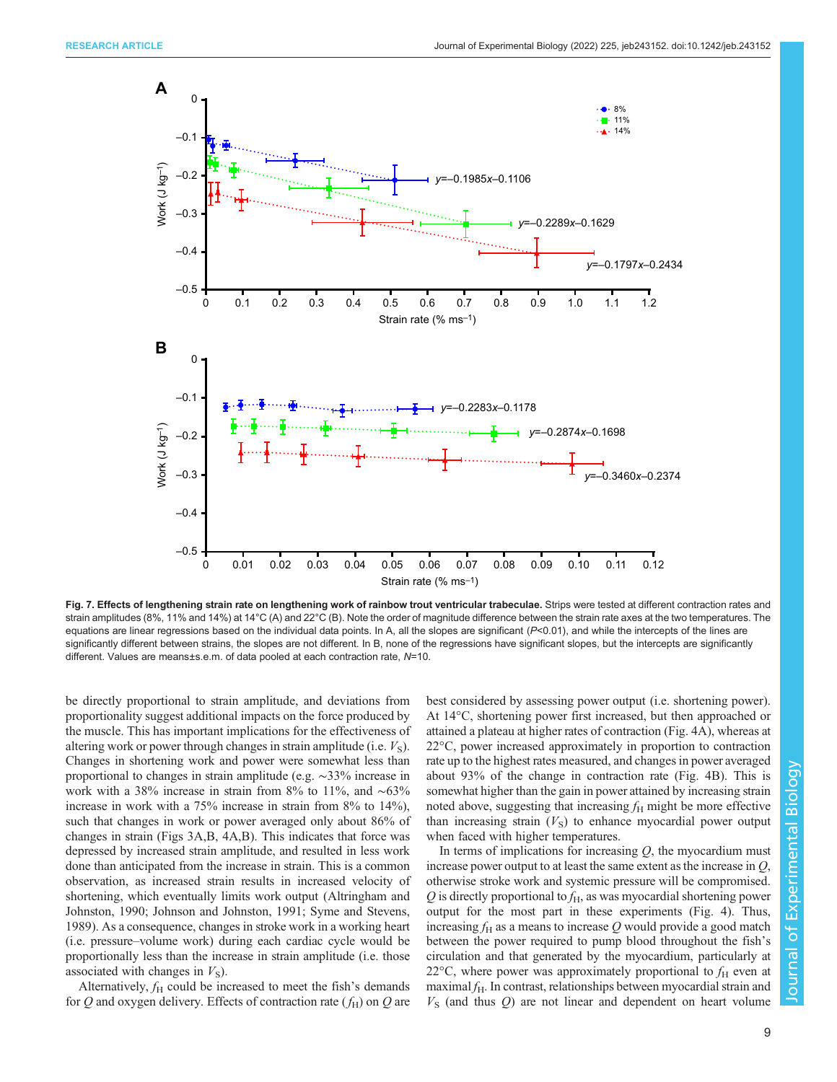<span id="page-8-0"></span>

Fig. 7. Effects of lengthening strain rate on lengthening work of rainbow trout ventricular trabeculae. Strips were tested at different contraction rates and strain amplitudes (8%, 11% and 14%) at 14°C (A) and 22°C (B). Note the order of magnitude difference between the strain rate axes at the two temperatures. The equations are linear regressions based on the individual data points. In A, all the slopes are significant (P<0.01), and while the intercepts of the lines are significantly different between strains, the slopes are not different. In B, none of the regressions have significant slopes, but the intercepts are significantly different. Values are means±s.e.m. of data pooled at each contraction rate, N=10.

be directly proportional to strain amplitude, and deviations from proportionality suggest additional impacts on the force produced by the muscle. This has important implications for the effectiveness of altering work or power through changes in strain amplitude (i.e.  $V_s$ ). Changes in shortening work and power were somewhat less than proportional to changes in strain amplitude (e.g. ∼33% increase in work with a 38% increase in strain from 8% to 11%, and ∼63% increase in work with a 75% increase in strain from 8% to 14%), such that changes in work or power averaged only about 86% of changes in strain ([Figs 3A](#page-4-0),B, [4A](#page-6-0),B). This indicates that force was depressed by increased strain amplitude, and resulted in less work done than anticipated from the increase in strain. This is a common observation, as increased strain results in increased velocity of shortening, which eventually limits work output ([Altringham and](#page-10-0) [Johnston, 1990](#page-10-0); [Johnson and Johnston, 1991](#page-11-0); [Syme and Stevens,](#page-11-0) [1989](#page-11-0)). As a consequence, changes in stroke work in a working heart (i.e. pressure–volume work) during each cardiac cycle would be proportionally less than the increase in strain amplitude (i.e. those associated with changes in  $V<sub>S</sub>$ ).

Alternatively,  $f<sub>H</sub>$  could be increased to meet the fish's demands for Q and oxygen delivery. Effects of contraction rate  $(f_H)$  on Q are best considered by assessing power output (i.e. shortening power). At 14°C, shortening power first increased, but then approached or attained a plateau at higher rates of contraction ([Fig. 4A](#page-6-0)), whereas at 22°C, power increased approximately in proportion to contraction rate up to the highest rates measured, and changes in power averaged about 93% of the change in contraction rate ([Fig. 4B](#page-6-0)). This is somewhat higher than the gain in power attained by increasing strain noted above, suggesting that increasing  $f_H$  might be more effective than increasing strain  $(V<sub>S</sub>)$  to enhance myocardial power output when faced with higher temperatures.

In terms of implications for increasing  $Q$ , the myocardium must increase power output to at least the same extent as the increase in Q, otherwise stroke work and systemic pressure will be compromised.  $Q$  is directly proportional to  $f_H$ , as was myocardial shortening power output for the most part in these experiments [\(Fig. 4](#page-6-0)). Thus, increasing  $f_H$  as a means to increase Q would provide a good match between the power required to pump blood throughout the fish's circulation and that generated by the myocardium, particularly at 22 $\degree$ C, where power was approximately proportional to  $f_H$  even at maximal  $f_{\rm H}$ . In contrast, relationships between myocardial strain and  $V<sub>S</sub>$  (and thus  $Q$ ) are not linear and dependent on heart volume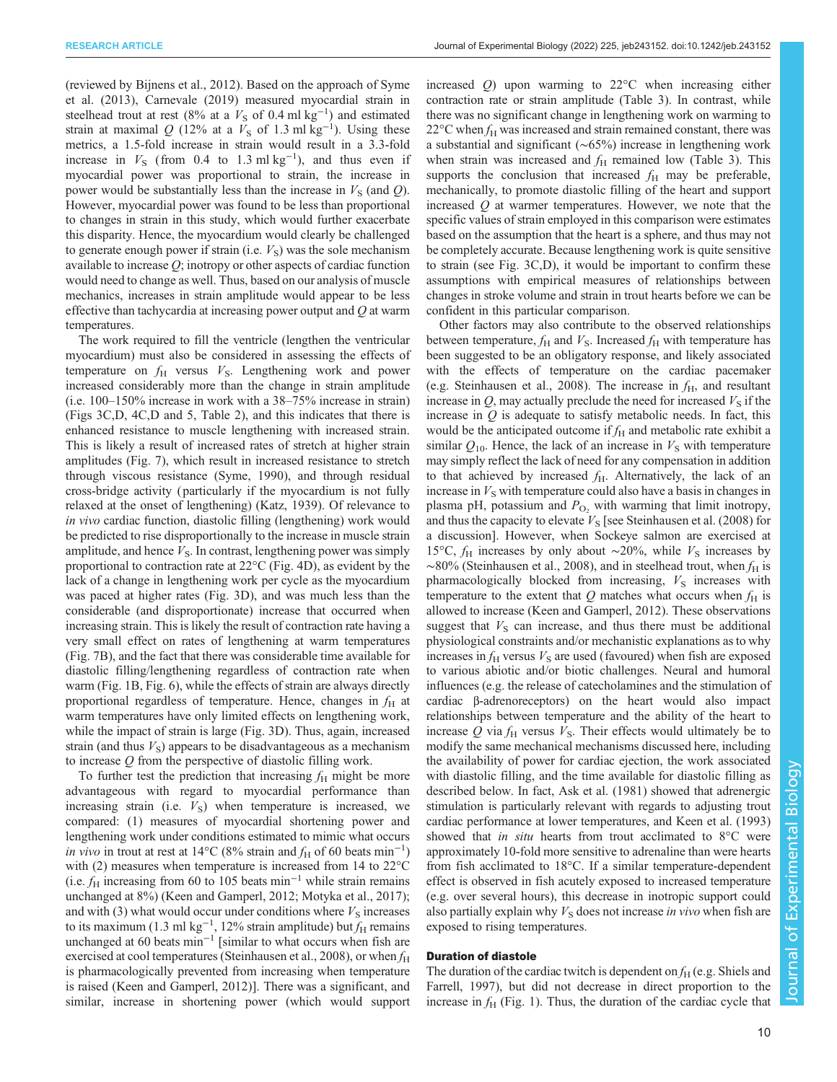(reviewed by [Bijnens et al., 2012\)](#page-10-0). Based on the approach of [Syme](#page-11-0) [et al. \(2013\),](#page-11-0) [Carnevale \(2019\)](#page-10-0) measured myocardial strain in steelhead trout at rest (8% at a  $V<sub>S</sub>$  of 0.4 ml kg<sup>-1</sup>) and estimated strain at maximal Q (12% at a  $\bar{V}_\text{S}$  of 1.3 ml kg<sup>-1</sup>). Using these metrics, a 1.5-fold increase in strain would result in a 3.3-fold increase in  $V<sub>S</sub>$  (from 0.4 to 1.3 ml kg<sup>-1</sup>), and thus even if myocardial power was proportional to strain, the increase in power would be substantially less than the increase in  $V<sub>S</sub>$  (and Q). However, myocardial power was found to be less than proportional to changes in strain in this study, which would further exacerbate this disparity. Hence, the myocardium would clearly be challenged to generate enough power if strain (i.e.  $V<sub>S</sub>$ ) was the sole mechanism available to increase  $Q$ ; inotropy or other aspects of cardiac function would need to change as well. Thus, based on our analysis of muscle mechanics, increases in strain amplitude would appear to be less effective than tachycardia at increasing power output and Q at warm temperatures.

The work required to fill the ventricle (lengthen the ventricular myocardium) must also be considered in assessing the effects of temperature on  $f_{\rm H}$  versus  $V_{\rm S}$ . Lengthening work and power increased considerably more than the change in strain amplitude (i.e. 100–150% increase in work with a 38–75% increase in strain) [\(Figs 3](#page-4-0)C,D, [4](#page-6-0)C,D and [5,](#page-7-0) [Table 2](#page-5-0)), and this indicates that there is enhanced resistance to muscle lengthening with increased strain. This is likely a result of increased rates of stretch at higher strain amplitudes [\(Fig. 7](#page-8-0)), which result in increased resistance to stretch through viscous resistance ([Syme, 1990\)](#page-11-0), and through residual cross-bridge activity ( particularly if the myocardium is not fully relaxed at the onset of lengthening) [\(Katz, 1939](#page-11-0)). Of relevance to in vivo cardiac function, diastolic filling (lengthening) work would be predicted to rise disproportionally to the increase in muscle strain amplitude, and hence  $V<sub>S</sub>$ . In contrast, lengthening power was simply proportional to contraction rate at 22°C [\(Fig. 4](#page-6-0)D), as evident by the lack of a change in lengthening work per cycle as the myocardium was paced at higher rates ([Fig. 3D](#page-4-0)), and was much less than the considerable (and disproportionate) increase that occurred when increasing strain. This is likely the result of contraction rate having a very small effect on rates of lengthening at warm temperatures [\(Fig. 7B](#page-8-0)), and the fact that there was considerable time available for diastolic filling/lengthening regardless of contraction rate when warm [\(Fig. 1B](#page-2-0), [Fig. 6](#page-7-0)), while the effects of strain are always directly proportional regardless of temperature. Hence, changes in  $f<sub>H</sub>$  at warm temperatures have only limited effects on lengthening work, while the impact of strain is large ([Fig. 3](#page-4-0)D). Thus, again, increased strain (and thus  $V<sub>S</sub>$ ) appears to be disadvantageous as a mechanism to increase Q from the perspective of diastolic filling work.

To further test the prediction that increasing  $f_H$  might be more advantageous with regard to myocardial performance than increasing strain (i.e.  $V<sub>S</sub>$ ) when temperature is increased, we compared: (1) measures of myocardial shortening power and lengthening work under conditions estimated to mimic what occurs in vivo in trout at rest at 14°C (8% strain and  $f_H$  of 60 beats min<sup>-1</sup>) with (2) measures when temperature is increased from 14 to 22<sup>o</sup>C (i.e.  $f_H$  increasing from 60 to 105 beats min<sup>-1</sup> while strain remains unchanged at 8%) [\(Keen and Gamperl, 2012; Motyka et al., 2017](#page-11-0)); and with (3) what would occur under conditions where  $V<sub>S</sub>$  increases to its maximum (1.3 ml kg<sup>-1</sup>, 12% strain amplitude) but  $f_H$  remains unchanged at 60 beats min<sup>-1</sup> [similar to what occurs when fish are exercised at cool temperatures [\(Steinhausen et al., 2008\)](#page-11-0), or when  $f_H$ is pharmacologically prevented from increasing when temperature is raised [\(Keen and Gamperl, 2012\)](#page-11-0)]. There was a significant, and similar, increase in shortening power (which would support increased Q) upon warming to 22°C when increasing either contraction rate or strain amplitude [\(Table 3](#page-7-0)). In contrast, while there was no significant change in lengthening work on warming to  $22^{\circ}$ C when  $f_H$  was increased and strain remained constant, there was a substantial and significant (∼65%) increase in lengthening work when strain was increased and  $f<sub>H</sub>$  remained low ([Table 3\)](#page-7-0). This supports the conclusion that increased  $f<sub>H</sub>$  may be preferable, mechanically, to promote diastolic filling of the heart and support increased Q at warmer temperatures. However, we note that the specific values of strain employed in this comparison were estimates based on the assumption that the heart is a sphere, and thus may not be completely accurate. Because lengthening work is quite sensitive to strain (see [Fig. 3](#page-4-0)C,D), it would be important to confirm these assumptions with empirical measures of relationships between changes in stroke volume and strain in trout hearts before we can be confident in this particular comparison.

Other factors may also contribute to the observed relationships between temperature,  $f_H$  and  $V_S$ . Increased  $f_H$  with temperature has been suggested to be an obligatory response, and likely associated with the effects of temperature on the cardiac pacemaker (e.g. [Steinhausen et al., 2008](#page-11-0)). The increase in  $f<sub>H</sub>$ , and resultant increase in  $Q$ , may actually preclude the need for increased  $V<sub>S</sub>$  if the increase in  $Q$  is adequate to satisfy metabolic needs. In fact, this would be the anticipated outcome if  $f_H$  and metabolic rate exhibit a similar  $Q_{10}$ . Hence, the lack of an increase in  $V<sub>S</sub>$  with temperature may simply reflect the lack of need for any compensation in addition to that achieved by increased  $f_H$ . Alternatively, the lack of an increase in  $V<sub>S</sub>$  with temperature could also have a basis in changes in plasma pH, potassium and  $P_{\text{O}_2}$  with warming that limit inotropy, and thus the capacity to elevate  $V<sub>S</sub>$  [see [Steinhausen et al. \(2008\)](#page-11-0) for a discussion]. However, when Sockeye salmon are exercised at 15°C,  $f_H$  increases by only about ∼20%, while  $V_S$  increases by  $~\sim$ 80% [\(Steinhausen et al., 2008](#page-11-0)), and in steelhead trout, when  $f_H$  is pharmacologically blocked from increasing,  $V<sub>S</sub>$  increases with temperature to the extent that  $Q$  matches what occurs when  $f_H$  is allowed to increase [\(Keen and Gamperl, 2012\)](#page-11-0). These observations suggest that  $V<sub>S</sub>$  can increase, and thus there must be additional physiological constraints and/or mechanistic explanations as to why increases in  $f_H$  versus  $V_S$  are used (favoured) when fish are exposed to various abiotic and/or biotic challenges. Neural and humoral influences (e.g. the release of catecholamines and the stimulation of cardiac β-adrenoreceptors) on the heart would also impact relationships between temperature and the ability of the heart to increase Q via  $f_H$  versus  $V_S$ . Their effects would ultimately be to modify the same mechanical mechanisms discussed here, including the availability of power for cardiac ejection, the work associated with diastolic filling, and the time available for diastolic filling as described below. In fact, [Ask et al. \(1981\)](#page-10-0) showed that adrenergic stimulation is particularly relevant with regards to adjusting trout cardiac performance at lower temperatures, and [Keen et al. \(1993\)](#page-11-0) showed that *in situ* hearts from trout acclimated to  $8^{\circ}$ C were approximately 10-fold more sensitive to adrenaline than were hearts from fish acclimated to 18°C. If a similar temperature-dependent effect is observed in fish acutely exposed to increased temperature (e.g. over several hours), this decrease in inotropic support could also partially explain why  $V<sub>S</sub>$  does not increase in vivo when fish are exposed to rising temperatures.

# Duration of diastole

The duration of the cardiac twitch is dependent on  $f_H$  (e.g. [Shiels and](#page-11-0) [Farrell, 1997](#page-11-0)), but did not decrease in direct proportion to the increase in  $f<sub>H</sub>$  [\(Fig. 1\)](#page-2-0). Thus, the duration of the cardiac cycle that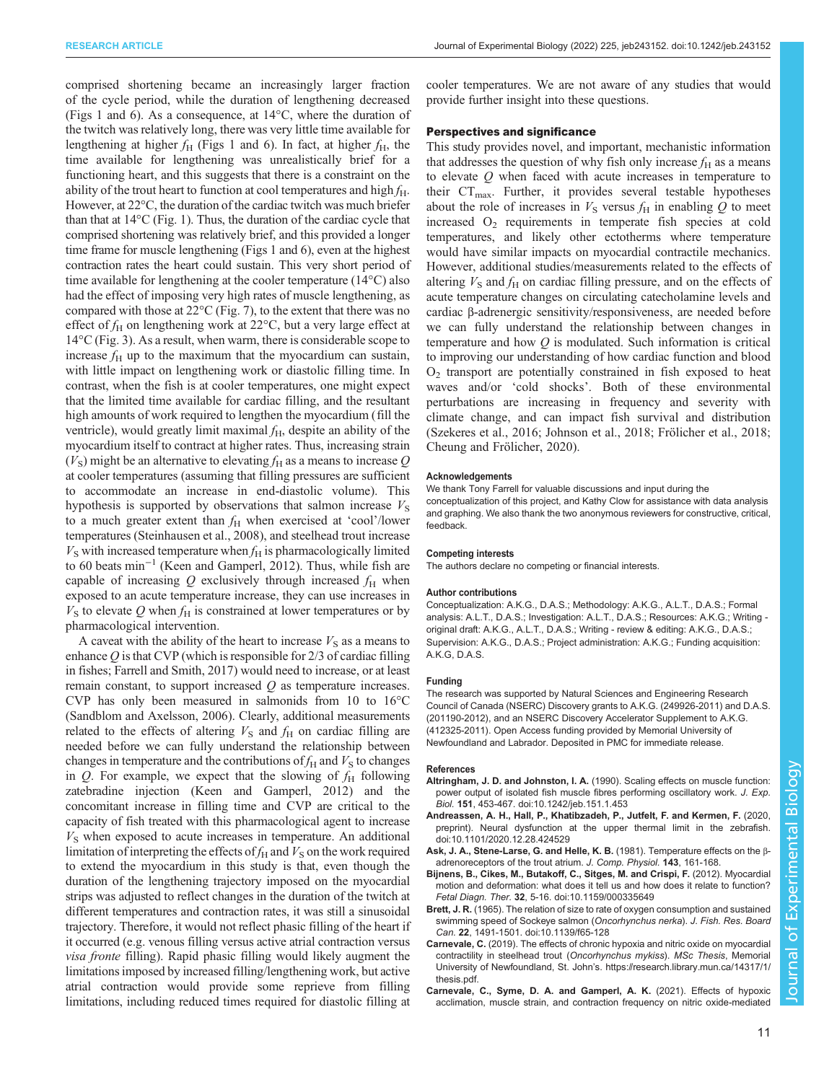<span id="page-10-0"></span>comprised shortening became an increasingly larger fraction of the cycle period, while the duration of lengthening decreased [\(Figs 1](#page-2-0) and [6\)](#page-7-0). As a consequence, at 14°C, where the duration of the twitch was relatively long, there was very little time available for lengthening at higher  $f_H$  ([Figs 1](#page-2-0) and [6\)](#page-7-0). In fact, at higher  $f_H$ , the time available for lengthening was unrealistically brief for a functioning heart, and this suggests that there is a constraint on the ability of the trout heart to function at cool temperatures and high  $f_H$ . However, at 22°C, the duration of the cardiac twitch was much briefer than that at 14°C [\(Fig. 1](#page-2-0)). Thus, the duration of the cardiac cycle that comprised shortening was relatively brief, and this provided a longer time frame for muscle lengthening ([Figs 1](#page-2-0) and [6\)](#page-7-0), even at the highest contraction rates the heart could sustain. This very short period of time available for lengthening at the cooler temperature (14°C) also had the effect of imposing very high rates of muscle lengthening, as compared with those at 22°C ([Fig. 7\)](#page-8-0), to the extent that there was no effect of  $f_H$  on lengthening work at 22 $\degree$ C, but a very large effect at  $14^{\circ}$ C [\(Fig. 3\)](#page-4-0). As a result, when warm, there is considerable scope to increase  $f_H$  up to the maximum that the myocardium can sustain, with little impact on lengthening work or diastolic filling time. In contrast, when the fish is at cooler temperatures, one might expect that the limited time available for cardiac filling, and the resultant high amounts of work required to lengthen the myocardium (fill the ventricle), would greatly limit maximal  $f<sub>H</sub>$ , despite an ability of the myocardium itself to contract at higher rates. Thus, increasing strain  $(V<sub>S</sub>)$  might be an alternative to elevating  $f<sub>H</sub>$  as a means to increase Q at cooler temperatures (assuming that filling pressures are sufficient to accommodate an increase in end-diastolic volume). This hypothesis is supported by observations that salmon increase  $V<sub>S</sub>$ to a much greater extent than  $f_H$  when exercised at 'cool'/lower temperatures ([Steinhausen et al., 2008\)](#page-11-0), and steelhead trout increase  $V<sub>S</sub>$  with increased temperature when  $f<sub>H</sub>$  is pharmacologically limited to 60 beats min−<sup>1</sup> [\(Keen and Gamperl, 2012](#page-11-0)). Thus, while fish are capable of increasing  $Q$  exclusively through increased  $f_H$  when exposed to an acute temperature increase, they can use increases in  $V<sub>S</sub>$  to elevate Q when  $f<sub>H</sub>$  is constrained at lower temperatures or by pharmacological intervention.

A caveat with the ability of the heart to increase  $V<sub>S</sub>$  as a means to enhance  $\hat{O}$  is that CVP (which is responsible for 2/3 of cardiac filling in fishes; [Farrell and Smith, 2017\)](#page-11-0) would need to increase, or at least remain constant, to support increased  $Q$  as temperature increases. CVP has only been measured in salmonids from 10 to 16°C [\(Sandblom and Axelsson, 2006\)](#page-11-0). Clearly, additional measurements related to the effects of altering  $V<sub>S</sub>$  and  $f<sub>H</sub>$  on cardiac filling are needed before we can fully understand the relationship between changes in temperature and the contributions of  $f_H$  and  $V_S$  to changes in Q. For example, we expect that the slowing of  $f_H$  following zatebradine injection ([Keen and Gamperl, 2012](#page-11-0)) and the concomitant increase in filling time and CVP are critical to the capacity of fish treated with this pharmacological agent to increase  $V<sub>S</sub>$  when exposed to acute increases in temperature. An additional limitation of interpreting the effects of  $f_H$  and  $V_S$  on the work required to extend the myocardium in this study is that, even though the duration of the lengthening trajectory imposed on the myocardial strips was adjusted to reflect changes in the duration of the twitch at different temperatures and contraction rates, it was still a sinusoidal trajectory. Therefore, it would not reflect phasic filling of the heart if it occurred (e.g. venous filling versus active atrial contraction versus visa fronte filling). Rapid phasic filling would likely augment the limitations imposed by increased filling/lengthening work, but active atrial contraction would provide some reprieve from filling limitations, including reduced times required for diastolic filling at

cooler temperatures. We are not aware of any studies that would provide further insight into these questions.

## Perspectives and significance

This study provides novel, and important, mechanistic information that addresses the question of why fish only increase  $f_H$  as a means to elevate Q when faced with acute increases in temperature to their  $CT_{\text{max}}$ . Further, it provides several testable hypotheses about the role of increases in  $V<sub>S</sub>$  versus  $f<sub>H</sub>$  in enabling Q to meet increased  $O_2$  requirements in temperate fish species at cold temperatures, and likely other ectotherms where temperature would have similar impacts on myocardial contractile mechanics. However, additional studies/measurements related to the effects of altering  $V<sub>S</sub>$  and  $f<sub>H</sub>$  on cardiac filling pressure, and on the effects of acute temperature changes on circulating catecholamine levels and cardiac β-adrenergic sensitivity/responsiveness, are needed before we can fully understand the relationship between changes in temperature and how Q is modulated. Such information is critical to improving our understanding of how cardiac function and blood  $O<sub>2</sub>$  transport are potentially constrained in fish exposed to heat waves and/or 'cold shocks'. Both of these environmental perturbations are increasing in frequency and severity with climate change, and can impact fish survival and distribution [\(Szekeres et al., 2016; Johnson et al., 2018](#page-11-0); [Frölicher et al., 2018](#page-11-0); [Cheung and Frölicher, 2020\)](#page-11-0).

### Acknowledgements

We thank Tony Farrell for valuable discussions and input during the conceptualization of this project, and Kathy Clow for assistance with data analysis and graphing. We also thank the two anonymous reviewers for constructive, critical, feedback.

#### Competing interests

The authors declare no competing or financial interests.

#### Author contributions

Conceptualization: A.K.G., D.A.S.; Methodology: A.K.G., A.L.T., D.A.S.; Formal analysis: A.L.T., D.A.S.; Investigation: A.L.T., D.A.S.; Resources: A.K.G.; Writing original draft: A.K.G., A.L.T., D.A.S.; Writing - review & editing: A.K.G., D.A.S.; Supervision: A.K.G., D.A.S.; Project administration: A.K.G.; Funding acquisition: A.K.G, D.A.S.

## Funding

The research was supported by Natural Sciences and Engineering Research Council of Canada (NSERC) Discovery grants to A.K.G. (249926-2011) and D.A.S. (201190-2012), and an NSERC Discovery Accelerator Supplement to A.K.G. (412325-2011). Open Access funding provided by Memorial University of Newfoundland and Labrador. Deposited in PMC for immediate release.

#### References

- Altringham, J. D. and Johnston, I. A. [\(1990\). Scaling effects on muscle function:](https://doi.org/10.1242/jeb.151.1.453) [power output of isolated fish muscle fibres performing oscillatory work.](https://doi.org/10.1242/jeb.151.1.453) J. Exp. Biol. 151[, 453-467. doi:10.1242/jeb.151.1.453](https://doi.org/10.1242/jeb.151.1.453)
- [Andreassen, A. H., Hall, P., Khatibzadeh, P., Jutfelt, F. and Kermen, F.](https://doi.org/10.1101/2020.12.28.424529) (2020, [preprint\). Neural dysfunction at the upper thermal limit in the zebrafish.](https://doi.org/10.1101/2020.12.28.424529) [doi:10.1101/2020.12.28.424529](https://doi.org/10.1101/2020.12.28.424529)
- Ask, J. A., Stene-Larse, G. and Helle, K. B. (1981). Temperature effects on the βadrenoreceptors of the trout atrium. J. Comp. Physiol. 143, 161-168.
- [Bijnens, B., Cikes, M., Butakoff, C., Sitges, M. and Crispi, F.](https://doi.org/10.1159/000335649) (2012). Myocardial [motion and deformation: what does it tell us and how does it relate to function?](https://doi.org/10.1159/000335649) Fetal Diagn. Ther. 32[, 5-16. doi:10.1159/000335649](https://doi.org/10.1159/000335649)
- Brett, J. R. [\(1965\). The relation of size to rate of oxygen consumption and sustained](https://doi.org/10.1139/f65-128) [swimming speed of Sockeye salmon \(](https://doi.org/10.1139/f65-128)Oncorhynchus nerka). J. Fish. Res. Board Can. 22[, 1491-1501. doi:10.1139/f65-128](https://doi.org/10.1139/f65-128)
- Carnevale, C. (2019). The effects of chronic hypoxia and nitric oxide on myocardial contractility in steelhead trout (Oncorhynchus mykiss). MSc Thesis, Memorial University of Newfoundland, St. John's. [https://research.library.mun.ca/14317/1/](https://research.library.mun.ca/14317/1/thesis.pdf) [thesis.pdf.](https://research.library.mun.ca/14317/1/thesis.pdf)
- [Carnevale, C., Syme, D. A. and Gamperl, A. K.](https://doi.org/10.1152/ajpregu.00014.2020) (2021). Effects of hypoxic [acclimation, muscle strain, and contraction frequency on nitric oxide-mediated](https://doi.org/10.1152/ajpregu.00014.2020)